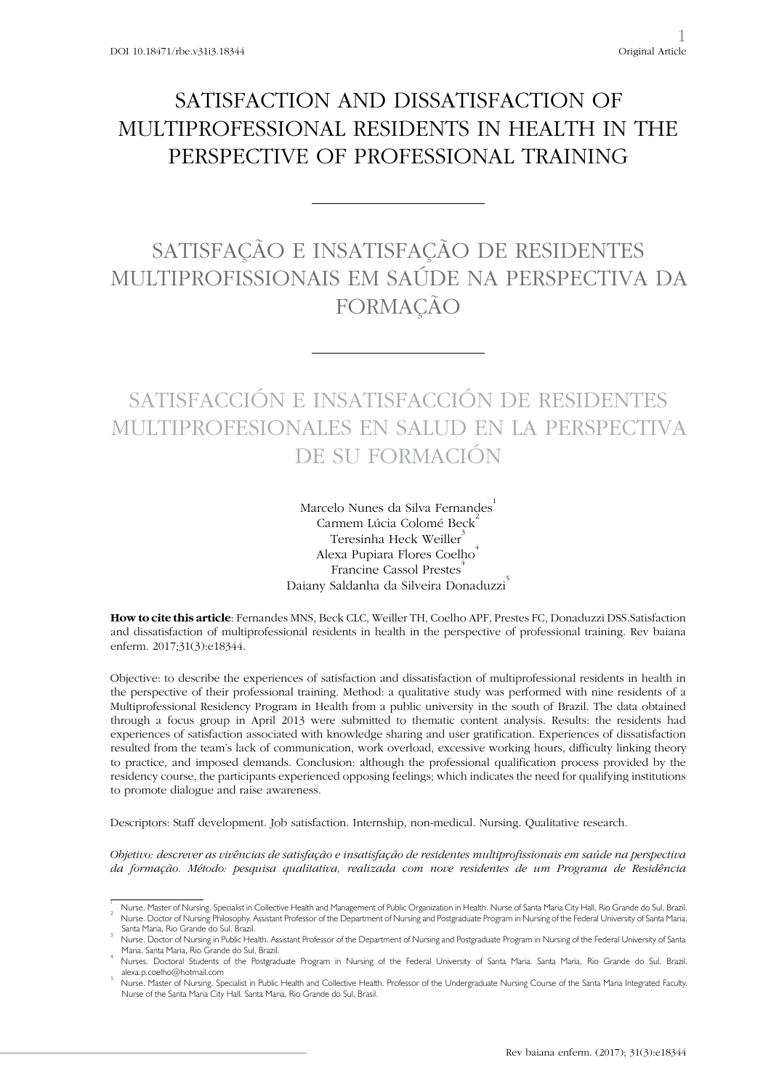# SATISFACTION AND DISSATISFACTION OF MULTIPROFESSIONAL RESIDENTS IN HEALTH IN THE PERSPECTIVE OF PROFESSIONAL TRAINING

# SATISFAÇÃO E INSATISFAÇÃO DE RESIDENTES MULTIPROFISSIONAIS EM SAÚDE NA PERSPECTIVA DA FORMAÇÃO

# SATISFACCIÓN E INSATISFACCIÓN DE RESIDENTES MULTIPROFESIONALES EN SALUD EN LA PERSPECTIVA DE SU FORMACIÓN

Marcelo Nunes da Silva Fernandes Carmem Lúcia Colomé Beck<sup>2</sup> Teresinha Heck Weiller<sup>3</sup> Alexa Pupiara Flores Coelho<sup>4</sup> Francine Cassol Prestes<sup>4</sup> Daiany Saldanha da Silveira Donaduzzi<sup>5</sup>

**How to cite this article**: Fernandes MNS, Beck CLC, Weiller TH, Coelho APF, Prestes FC, Donaduzzi DSS.Satisfaction and dissatisfaction of multiprofessional residents in health in the perspective of professional training. Rev baiana enferm. 2017;31(3):e18344.

Objective: to describe the experiences of satisfaction and dissatisfaction of multiprofessional residents in health in the perspective of their professional training. Method: a qualitative study was performed with nine residents of a Multiprofessional Residency Program in Health from a public university in the south of Brazil. The data obtained through a focus group in April 2013 were submitted to thematic content analysis. Results: the residents had experiences of satisfaction associated with knowledge sharing and user gratification. Experiences of dissatisfaction resulted from the team's lack of communication, work overload, excessive working hours, difficulty linking theory to practice, and imposed demands. Conclusion: although the professional qualification process provided by the residency course, the participants experienced opposing feelings; which indicates the need for qualifying institutions to promote dialogue and raise awareness.

Descriptors: Staff development. Job satisfaction. Internship, non-medical. Nursing. Qualitative research.

*Objetivo: descrever as vivências de satisfação e insatisfação de residentes multiprofissionais em saúde na perspectiva da formação. Método: pesquisa qualitativa, realizada com nove residentes de um Programa de Residência* 

Nurse. Master of Nursing. Specialist in Collective Health and Management of Public Organization in Health. Nurse of Santa Maria City Hall, Rio Grande do Sul, Brazil. 2 Nurse. Doctor of Nursing Philosophy. Assistant Professor of the Department of Nursing and Postgraduate Program in Nursing of the Federal University of Santa Maria.

Santa Maria, Rio Grande do Sul, Brazil. Nurse. Doctor of Nursing in Public Health. Assistant Professor of the Department of Nursing and Postgraduate Program in Nursing of the Federal University of Santa

Maria. Santa Maria, Rio Grande do Sul, Brazil. <sup>4</sup> Nurses. Doctoral Students of the Postgraduate Program in Nursing of the Federal University of Santa Maria. Santa Maria, Rio Grande do Sul, Brazil.

alexa.p.coelho@hotmail.com 5

Nurse. Master of Nursing. Specialist in Public Health and Collective Health. Professor of the Undergraduate Nursing Course of the Santa Maria Integrated Faculty. Nurse of the Santa Maria City Hall. Santa Maria, Rio Grande do Sul, Brasil.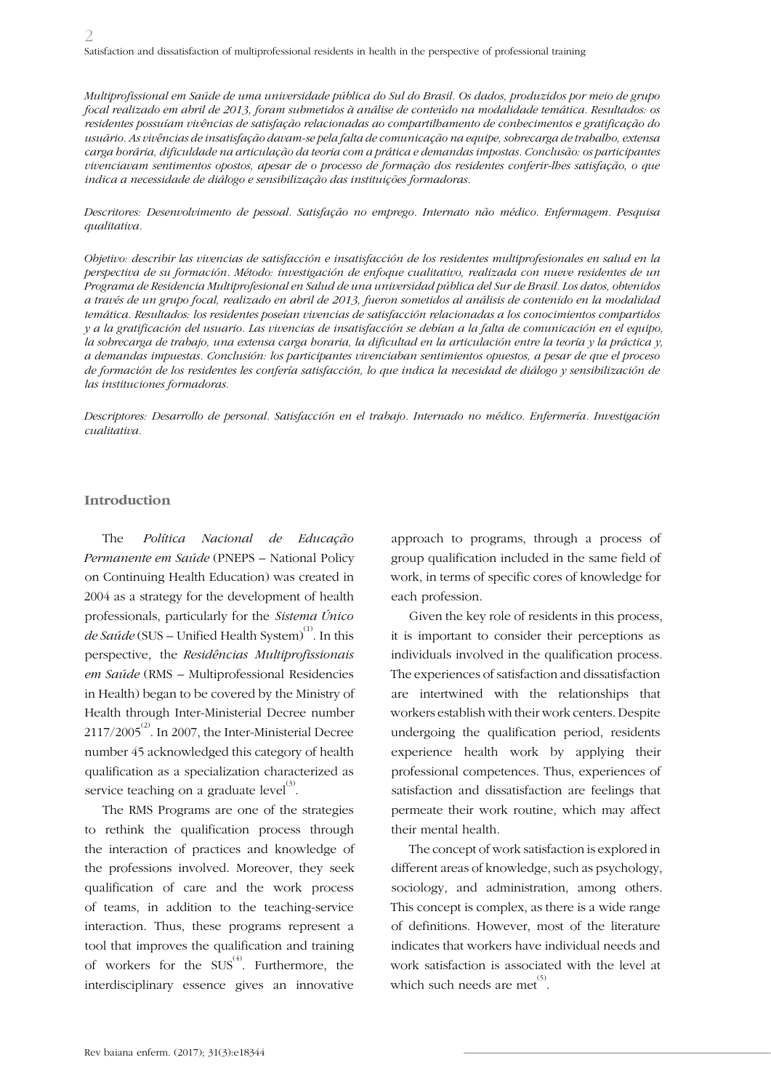*Multiprofissional em Saúde de uma universidade pública do Sul do Brasil. Os dados, produzidos por meio de grupo focal realizado em abril de 2013, foram submetidos à análise de conteúdo na modalidade temática. Resultados: os residentes possuíam vivências de satisfação relacionadas ao compartilhamento de conhecimentos e gratificação do usuário. As vivências de insatisfação davam-se pela falta de comunicação na equipe, sobrecarga de trabalho, extensa carga horária, dificuldade na articulação da teoria com a prática e demandas impostas. Conclusão: os participantes vivenciavam sentimentos opostos, apesar de o processo de formação dos residentes conferir-lhes satisfação, o que indica a necessidade de diálogo e sensibilização das instituições formadoras.*

*Descritores: Desenvolvimento de pessoal. Satisfação no emprego. Internato não médico. Enfermagem. Pesquisa qualitativa.*

*Objetivo: describir las vivencias de satisfacción e insatisfacción de los residentes multiprofesionales en salud en la perspectiva de su formación. Método: investigación de enfoque cualitativo, realizada con nueve residentes de un Programa de Residencia Multiprofesional en Salud de una universidad pública del Sur de Brasil. Los datos, obtenidos a través de un grupo focal, realizado en abril de 2013, fueron sometidos al análisis de contenido en la modalidad temática. Resultados: los residentes poseían vivencias de satisfacción relacionadas a los conocimientos compartidos y a la gratificación del usuario. Las vivencias de insatisfacción se debían a la falta de comunicación en el equipo, la sobrecarga de trabajo, una extensa carga horaria, la dificultad en la articulación entre la teoría y la práctica y, a demandas impuestas. Conclusión: los participantes vivenciaban sentimientos opuestos, a pesar de que el proceso de formación de los residentes les confería satisfacción, lo que indica la necesidad de diálogo y sensibilización de las instituciones formadoras.*

*Descriptores: Desarrollo de personal. Satisfacción en el trabajo. Internado no médico. Enfermería. Investigación cualitativa.*

#### **Introduction**

The *Política Nacional de Educação Permanente em Saúde* (PNEPS – National Policy on Continuing Health Education) was created in 2004 as a strategy for the development of health professionals, particularly for the *Sistema Único de Saúde* (SUS – Unified Health System)<sup>(1)</sup>. In this perspective, the *Residências Multiprofissionais em Saúde* (RMS – Multiprofessional Residencies in Health) began to be covered by the Ministry of Health through Inter-Ministerial Decree number  $2117/2005^{(2)}$ . In 2007, the Inter-Ministerial Decree number 45 acknowledged this category of health qualification as a specialization characterized as service teaching on a graduate  ${\rm level}^{(3)}$ .

The RMS Programs are one of the strategies to rethink the qualification process through the interaction of practices and knowledge of the professions involved. Moreover, they seek qualification of care and the work process of teams, in addition to the teaching-service interaction. Thus, these programs represent a tool that improves the qualification and training of workers for the  $SUS^{(4)}$ . Furthermore, the interdisciplinary essence gives an innovative

approach to programs, through a process of group qualification included in the same field of work, in terms of specific cores of knowledge for each profession.

Given the key role of residents in this process, it is important to consider their perceptions as individuals involved in the qualification process. The experiences of satisfaction and dissatisfaction are intertwined with the relationships that workers establish with their work centers. Despite undergoing the qualification period, residents experience health work by applying their professional competences. Thus, experiences of satisfaction and dissatisfaction are feelings that permeate their work routine, which may affect their mental health.

The concept of work satisfaction is explored in different areas of knowledge, such as psychology, sociology, and administration, among others. This concept is complex, as there is a wide range of definitions. However, most of the literature indicates that workers have individual needs and work satisfaction is associated with the level at which such needs are met  $\overset{(5)}{.}$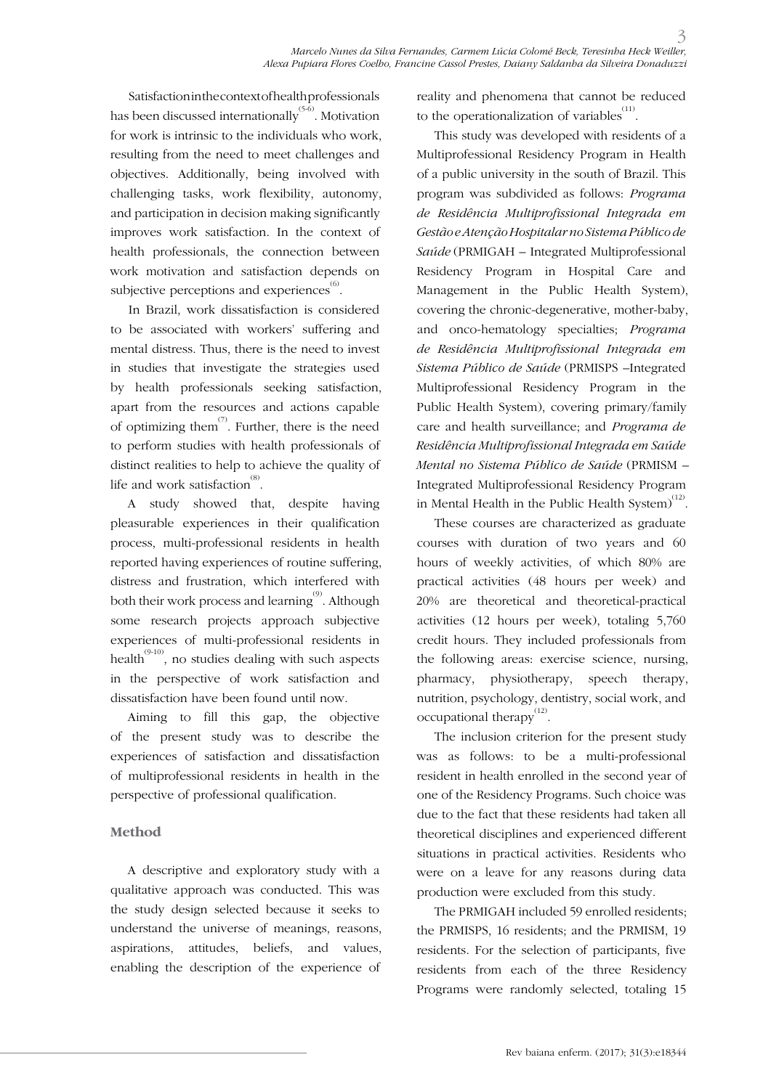Satisfaction in the context of health professionals has been discussed internationally $^{\textrm{\tiny{(5-6)}}}$ . Motivation for work is intrinsic to the individuals who work, resulting from the need to meet challenges and objectives. Additionally, being involved with challenging tasks, work flexibility, autonomy, and participation in decision making significantly improves work satisfaction. In the context of health professionals, the connection between work motivation and satisfaction depends on subjective perceptions and experiences  $\overset{\text{\tiny{(6)}}}{.}$ 

In Brazil, work dissatisfaction is considered to be associated with workers' suffering and mental distress. Thus, there is the need to invest in studies that investigate the strategies used by health professionals seeking satisfaction, apart from the resources and actions capable of optimizing them<sup> $(7)$ </sup>. Further, there is the need to perform studies with health professionals of distinct realities to help to achieve the quality of life and work satisfaction  $\overset{\text{\tiny{(8)}}}{\cdot}$ .

A study showed that, despite having pleasurable experiences in their qualification process, multi-professional residents in health reported having experiences of routine suffering, distress and frustration, which interfered with both their work process and learning<sup>(9)</sup>. Although some research projects approach subjective experiences of multi-professional residents in health<sup> $(9-10)$ </sup>, no studies dealing with such aspects in the perspective of work satisfaction and dissatisfaction have been found until now.

Aiming to fill this gap, the objective of the present study was to describe the experiences of satisfaction and dissatisfaction of multiprofessional residents in health in the perspective of professional qualification.

## **Method**

A descriptive and exploratory study with a qualitative approach was conducted. This was the study design selected because it seeks to understand the universe of meanings, reasons, aspirations, attitudes, beliefs, and values, enabling the description of the experience of

reality and phenomena that cannot be reduced to the operationalization of variables $\sum_{i=1}^{(11)}$ .

This study was developed with residents of a Multiprofessional Residency Program in Health of a public university in the south of Brazil. This program was subdivided as follows: *Programa de Residência Multiprofissional Integrada em Gestão e Atenção Hospitalar no Sistema Público de Saúde* (PRMIGAH – Integrated Multiprofessional Residency Program in Hospital Care and Management in the Public Health System), covering the chronic-degenerative, mother-baby, and onco-hematology specialties; *Programa de Residência Multiprofissional Integrada em Sistema Público de Saúde* (PRMISPS –Integrated Multiprofessional Residency Program in the Public Health System), covering primary/family care and health surveillance; and *Programa de Residência Multiprofissional Integrada em Saúde Mental no Sistema Público de Saúde* (PRMISM – Integrated Multiprofessional Residency Program in Mental Health in the Public Health System) $^{(12)}$ .

These courses are characterized as graduate courses with duration of two years and 60 hours of weekly activities, of which 80% are practical activities (48 hours per week) and 20% are theoretical and theoretical-practical activities (12 hours per week), totaling 5,760 credit hours. They included professionals from the following areas: exercise science, nursing, pharmacy, physiotherapy, speech therapy, nutrition, psychology, dentistry, social work, and occupational therapy $^{(12)}$ .

The inclusion criterion for the present study was as follows: to be a multi-professional resident in health enrolled in the second year of one of the Residency Programs. Such choice was due to the fact that these residents had taken all theoretical disciplines and experienced different situations in practical activities. Residents who were on a leave for any reasons during data production were excluded from this study.

The PRMIGAH included 59 enrolled residents; the PRMISPS, 16 residents; and the PRMISM, 19 residents. For the selection of participants, five residents from each of the three Residency Programs were randomly selected, totaling 15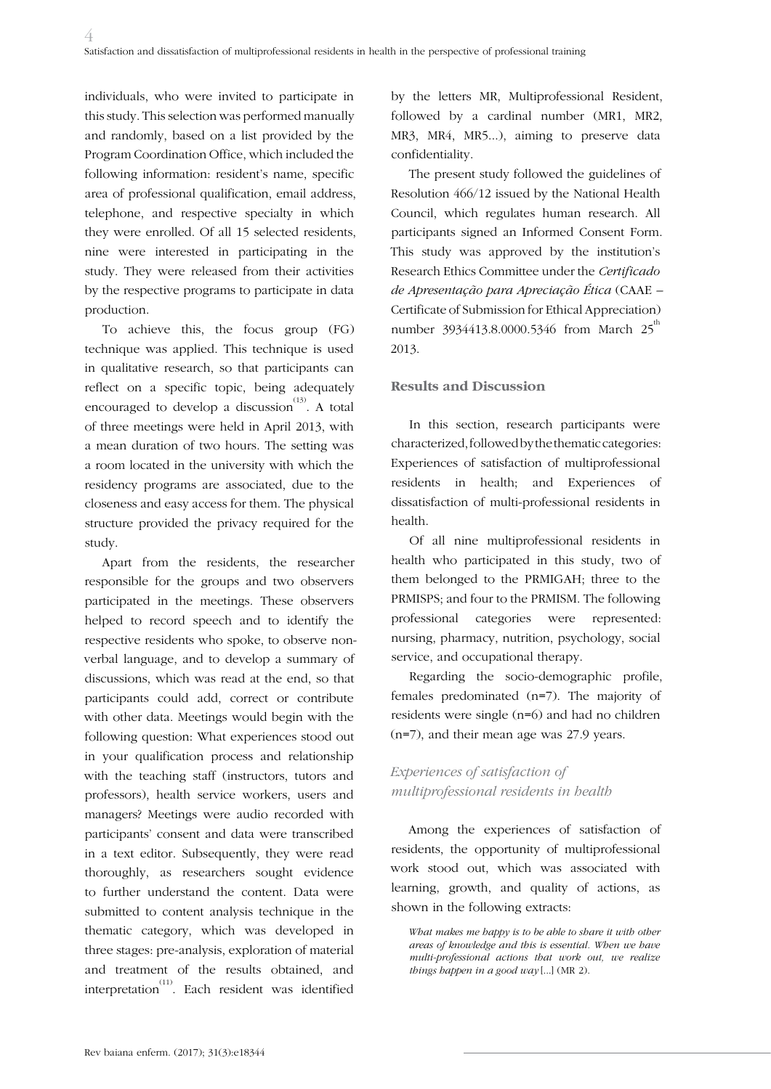individuals, who were invited to participate in this study. This selection was performed manually and randomly, based on a list provided by the Program Coordination Office, which included the following information: resident's name, specific area of professional qualification, email address, telephone, and respective specialty in which they were enrolled. Of all 15 selected residents, nine were interested in participating in the study. They were released from their activities by the respective programs to participate in data production.

To achieve this, the focus group (FG) technique was applied. This technique is used in qualitative research, so that participants can reflect on a specific topic, being adequately encouraged to develop a discussion<sup> $(13)$ </sup>. A total of three meetings were held in April 2013, with a mean duration of two hours. The setting was a room located in the university with which the residency programs are associated, due to the closeness and easy access for them. The physical structure provided the privacy required for the study.

Apart from the residents, the researcher responsible for the groups and two observers participated in the meetings. These observers helped to record speech and to identify the respective residents who spoke, to observe nonverbal language, and to develop a summary of discussions, which was read at the end, so that participants could add, correct or contribute with other data. Meetings would begin with the following question: What experiences stood out in your qualification process and relationship with the teaching staff (instructors, tutors and professors), health service workers, users and managers? Meetings were audio recorded with participants' consent and data were transcribed in a text editor. Subsequently, they were read thoroughly, as researchers sought evidence to further understand the content. Data were submitted to content analysis technique in the thematic category, which was developed in three stages: pre-analysis, exploration of material and treatment of the results obtained, and interpretation<sup>(11)</sup>. Each resident was identified

by the letters MR, Multiprofessional Resident, followed by a cardinal number (MR1, MR2, MR3, MR4, MR5...), aiming to preserve data confidentiality.

The present study followed the guidelines of Resolution 466/12 issued by the National Health Council, which regulates human research. All participants signed an Informed Consent Form. This study was approved by the institution's Research Ethics Committee under the *Certificado de Apresentação para Apreciação Ética* (CAAE – Certificate of Submission for Ethical Appreciation) number 3934413.8.0000.5346 from March  $25^{th}$ 2013.

### **Results and Discussion**

In this section, research participants were characterized, followed by the thematic categories: Experiences of satisfaction of multiprofessional residents in health; and Experiences of dissatisfaction of multi-professional residents in health.

Of all nine multiprofessional residents in health who participated in this study, two of them belonged to the PRMIGAH; three to the PRMISPS; and four to the PRMISM. The following professional categories were represented: nursing, pharmacy, nutrition, psychology, social service, and occupational therapy.

Regarding the socio-demographic profile, females predominated (n=7). The majority of residents were single (n=6) and had no children (n=7), and their mean age was 27.9 years.

## *Experiences of satisfaction of multiprofessional residents in health*

Among the experiences of satisfaction of residents, the opportunity of multiprofessional work stood out, which was associated with learning, growth, and quality of actions, as shown in the following extracts:

*What makes me happy is to be able to share it with other areas of knowledge and this is essential. When we have multi-professional actions that work out, we realize things happen in a good way* [...] (MR 2).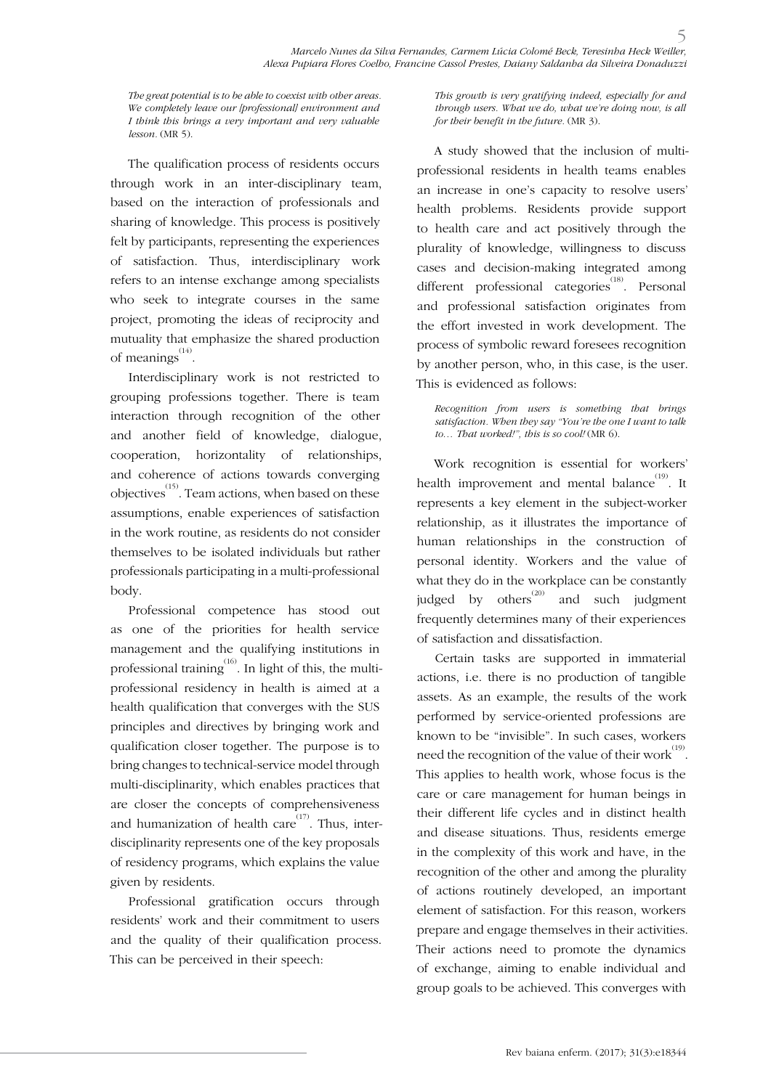*The great potential is to be able to coexist with other areas. We completely leave our [professional] environment and I think this brings a very important and very valuable lesson.* (MR 5).

The qualification process of residents occurs through work in an inter-disciplinary team, based on the interaction of professionals and sharing of knowledge. This process is positively felt by participants, representing the experiences of satisfaction. Thus, interdisciplinary work refers to an intense exchange among specialists who seek to integrate courses in the same project, promoting the ideas of reciprocity and mutuality that emphasize the shared production of meanings<sup>(14)</sup>.

Interdisciplinary work is not restricted to grouping professions together. There is team interaction through recognition of the other and another field of knowledge, dialogue, cooperation, horizontality of relationships, and coherence of actions towards converging objectives(15). Team actions, when based on these assumptions, enable experiences of satisfaction in the work routine, as residents do not consider themselves to be isolated individuals but rather professionals participating in a multi-professional body.

Professional competence has stood out as one of the priorities for health service management and the qualifying institutions in professional training<sup>(16)</sup>. In light of this, the multiprofessional residency in health is aimed at a health qualification that converges with the SUS principles and directives by bringing work and qualification closer together. The purpose is to bring changes to technical-service model through multi-disciplinarity, which enables practices that are closer the concepts of comprehensiveness and humanization of health care<sup> $(17)$ </sup>. Thus, interdisciplinarity represents one of the key proposals of residency programs, which explains the value given by residents.

Professional gratification occurs through residents' work and their commitment to users and the quality of their qualification process. This can be perceived in their speech:

*This growth is very gratifying indeed, especially for and through users. What we do, what we're doing now, is all for their benefit in the future.* (MR 3).

A study showed that the inclusion of multiprofessional residents in health teams enables an increase in one's capacity to resolve users' health problems. Residents provide support to health care and act positively through the plurality of knowledge, willingness to discuss cases and decision-making integrated among different professional categories<sup>(18)</sup>. Personal and professional satisfaction originates from the effort invested in work development. The process of symbolic reward foresees recognition by another person, who, in this case, is the user. This is evidenced as follows:

*Recognition from users is something that brings satisfaction. When they say "You're the one I want to talk to… That worked!", this is so cool!* (MR 6).

Work recognition is essential for workers' health improvement and mental balance<sup>(19)</sup>. It represents a key element in the subject-worker relationship, as it illustrates the importance of human relationships in the construction of personal identity. Workers and the value of what they do in the workplace can be constantly judged by others<sup>(20)</sup> and such judgment frequently determines many of their experiences of satisfaction and dissatisfaction.

Certain tasks are supported in immaterial actions, i.e. there is no production of tangible assets. As an example, the results of the work performed by service-oriented professions are known to be "invisible". In such cases, workers need the recognition of the value of their work $^{(19)}$ . This applies to health work, whose focus is the care or care management for human beings in their different life cycles and in distinct health and disease situations. Thus, residents emerge in the complexity of this work and have, in the recognition of the other and among the plurality of actions routinely developed, an important element of satisfaction. For this reason, workers prepare and engage themselves in their activities. Their actions need to promote the dynamics of exchange, aiming to enable individual and group goals to be achieved. This converges with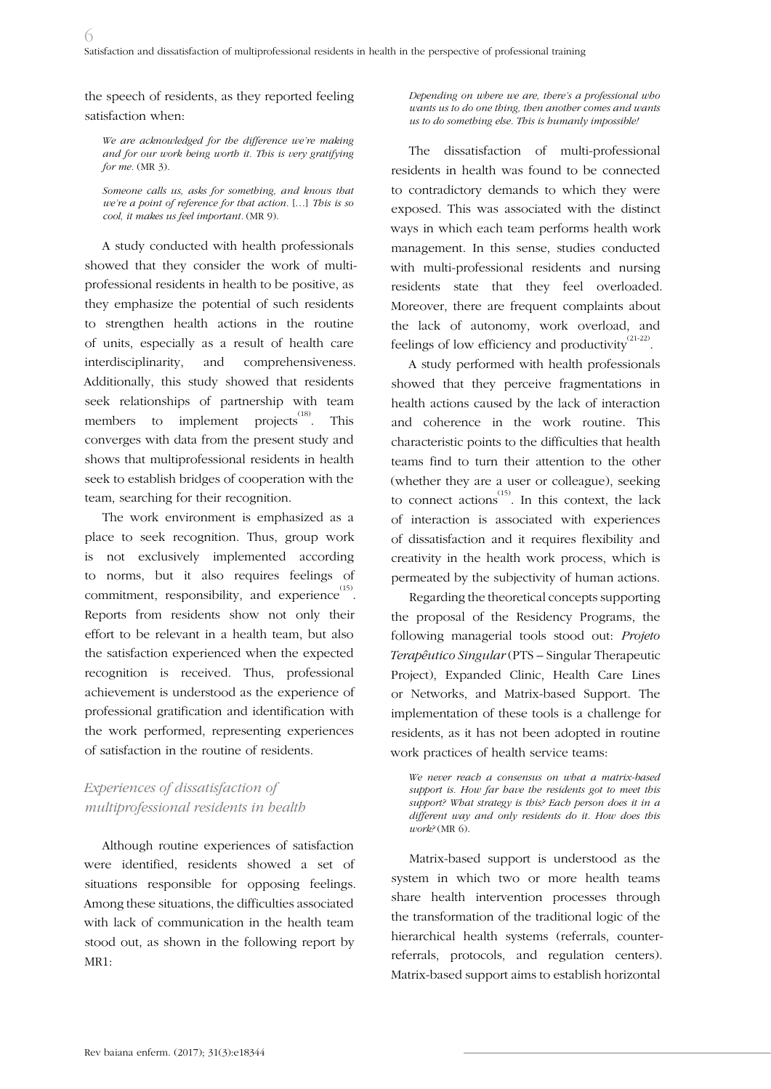the speech of residents, as they reported feeling satisfaction when:

*We are acknowledged for the difference we're making and for our work being worth it. This is very gratifying for me.* (MR 3).

*Someone calls us, asks for something, and knows that we're a point of reference for that action.* […] *This is so cool, it makes us feel important.* (MR 9).

A study conducted with health professionals showed that they consider the work of multiprofessional residents in health to be positive, as they emphasize the potential of such residents to strengthen health actions in the routine of units, especially as a result of health care interdisciplinarity, and comprehensiveness. Additionally, this study showed that residents seek relationships of partnership with team members to implement projects  $\frac{(18)}{18}$ . This converges with data from the present study and shows that multiprofessional residents in health seek to establish bridges of cooperation with the team, searching for their recognition.

The work environment is emphasized as a place to seek recognition. Thus, group work is not exclusively implemented according to norms, but it also requires feelings of commitment, responsibility, and experience  $^{(15)}$ . Reports from residents show not only their effort to be relevant in a health team, but also the satisfaction experienced when the expected recognition is received. Thus, professional achievement is understood as the experience of professional gratification and identification with the work performed, representing experiences of satisfaction in the routine of residents.

## *Experiences of dissatisfaction of multiprofessional residents in health*

Although routine experiences of satisfaction were identified, residents showed a set of situations responsible for opposing feelings. Among these situations, the difficulties associated with lack of communication in the health team stood out, as shown in the following report by MR1:

*Depending on where we are, there's a professional who wants us to do one thing, then another comes and wants us to do something else. This is humanly impossible!* 

The dissatisfaction of multi-professional residents in health was found to be connected to contradictory demands to which they were exposed. This was associated with the distinct ways in which each team performs health work management. In this sense, studies conducted with multi-professional residents and nursing residents state that they feel overloaded. Moreover, there are frequent complaints about the lack of autonomy, work overload, and feelings of low efficiency and productivity  $^{(21\text{-}22)}$ .

A study performed with health professionals showed that they perceive fragmentations in health actions caused by the lack of interaction and coherence in the work routine. This characteristic points to the difficulties that health teams find to turn their attention to the other (whether they are a user or colleague), seeking to connect actions<sup>(15)</sup>. In this context, the lack of interaction is associated with experiences of dissatisfaction and it requires flexibility and creativity in the health work process, which is permeated by the subjectivity of human actions.

Regarding the theoretical concepts supporting the proposal of the Residency Programs, the following managerial tools stood out: *Projeto Terapêutico Singular* (PTS – Singular Therapeutic Project), Expanded Clinic, Health Care Lines or Networks, and Matrix-based Support. The implementation of these tools is a challenge for residents, as it has not been adopted in routine work practices of health service teams:

*We never reach a consensus on what a matrix-based support is. How far have the residents got to meet this support? What strategy is this? Each person does it in a different way and only residents do it. How does this work?* (MR 6).

Matrix-based support is understood as the system in which two or more health teams share health intervention processes through the transformation of the traditional logic of the hierarchical health systems (referrals, counterreferrals, protocols, and regulation centers). Matrix-based support aims to establish horizontal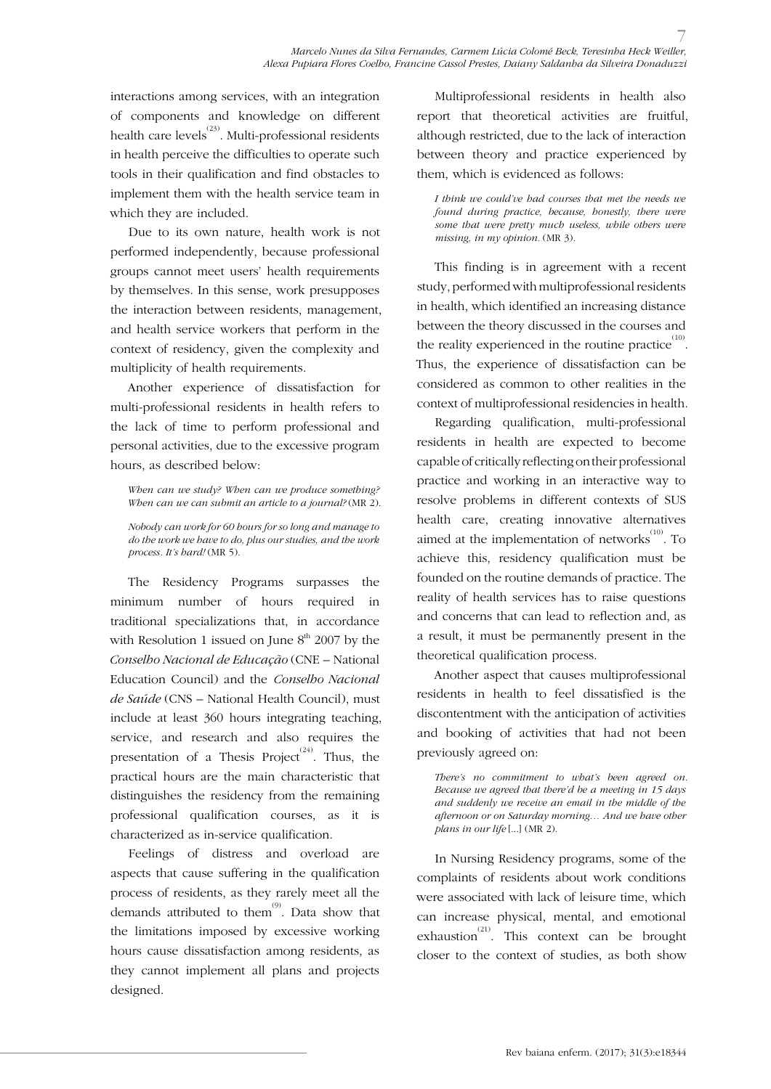interactions among services, with an integration of components and knowledge on different health care levels<sup>(23)</sup>. Multi-professional residents in health perceive the difficulties to operate such tools in their qualification and find obstacles to implement them with the health service team in which they are included.

Due to its own nature, health work is not performed independently, because professional groups cannot meet users' health requirements by themselves. In this sense, work presupposes the interaction between residents, management, and health service workers that perform in the context of residency, given the complexity and multiplicity of health requirements.

Another experience of dissatisfaction for multi-professional residents in health refers to the lack of time to perform professional and personal activities, due to the excessive program hours, as described below:

*When can we study? When can we produce something? When can we can submit an article to a journal?* (MR 2).

*Nobody can work for 60 hours for so long and manage to do the work we have to do, plus our studies, and the work process. It's hard!* (MR 5).

The Residency Programs surpasses the minimum number of hours required in traditional specializations that, in accordance with Resolution 1 issued on June  $8<sup>th</sup>$  2007 by the *Conselho Nacional de Educação* (CNE – National Education Council) and the *Conselho Nacional de Saúde* (CNS – National Health Council), must include at least 360 hours integrating teaching, service, and research and also requires the presentation of a Thesis Project<sup>(24)</sup>. Thus, the practical hours are the main characteristic that distinguishes the residency from the remaining professional qualification courses, as it is characterized as in-service qualification.

Feelings of distress and overload are aspects that cause suffering in the qualification process of residents, as they rarely meet all the demands attributed to them<sup>(9)</sup>. Data show that the limitations imposed by excessive working hours cause dissatisfaction among residents, as they cannot implement all plans and projects designed.

Multiprofessional residents in health also report that theoretical activities are fruitful, although restricted, due to the lack of interaction between theory and practice experienced by them, which is evidenced as follows:

*I think we could've had courses that met the needs we found during practice, because, honestly, there were some that were pretty much useless, while others were missing, in my opinion.* (MR 3).

This finding is in agreement with a recent study, performed with multiprofessional residents in health, which identified an increasing distance between the theory discussed in the courses and the reality experienced in the routine practice  $^{(10)}$ . Thus, the experience of dissatisfaction can be considered as common to other realities in the context of multiprofessional residencies in health.

Regarding qualification, multi-professional residents in health are expected to become capable of critically reflecting on their professional practice and working in an interactive way to resolve problems in different contexts of SUS health care, creating innovative alternatives aimed at the implementation of networks  $^{(10)}$ . To achieve this, residency qualification must be founded on the routine demands of practice. The reality of health services has to raise questions and concerns that can lead to reflection and, as a result, it must be permanently present in the theoretical qualification process.

Another aspect that causes multiprofessional residents in health to feel dissatisfied is the discontentment with the anticipation of activities and booking of activities that had not been previously agreed on:

*There's no commitment to what's been agreed on. Because we agreed that there'd be a meeting in 15 days and suddenly we receive an email in the middle of the afternoon or on Saturday morning… And we have other plans in our life* [...] (MR 2).

In Nursing Residency programs, some of the complaints of residents about work conditions were associated with lack of leisure time, which can increase physical, mental, and emotional exhaustion<sup>(21)</sup>. This context can be brought closer to the context of studies, as both show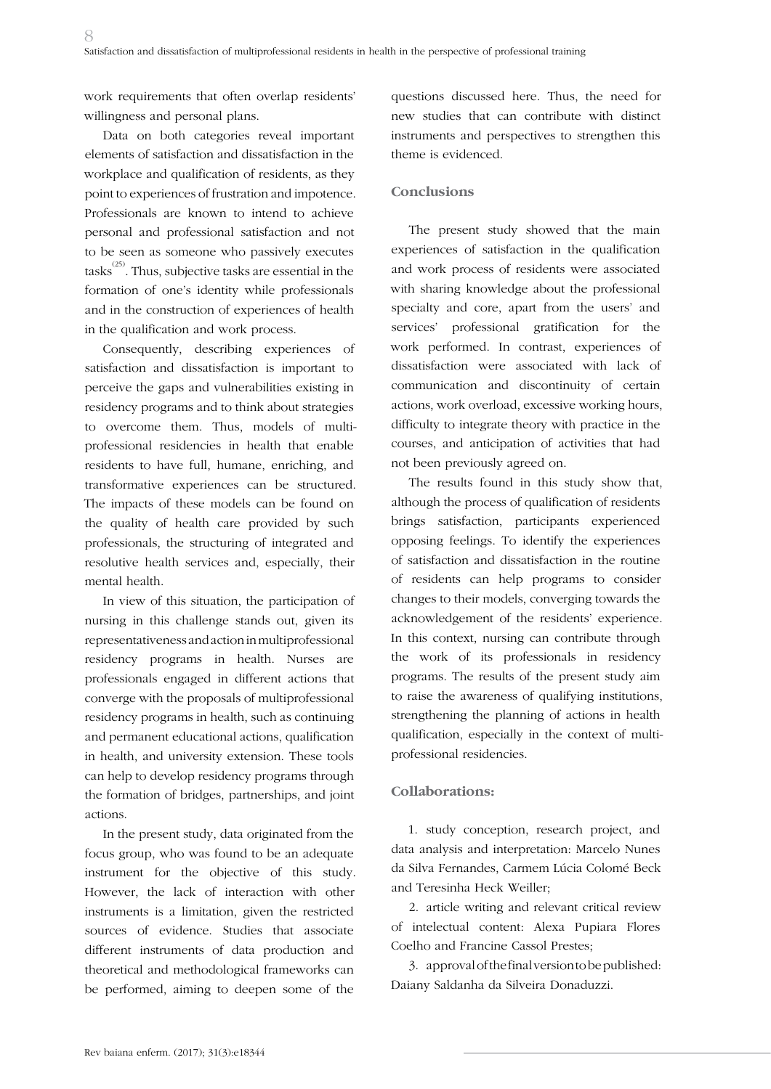work requirements that often overlap residents' willingness and personal plans.

Data on both categories reveal important elements of satisfaction and dissatisfaction in the workplace and qualification of residents, as they point to experiences of frustration and impotence. Professionals are known to intend to achieve personal and professional satisfaction and not to be seen as someone who passively executes tasks<sup>(25)</sup>. Thus, subjective tasks are essential in the formation of one's identity while professionals and in the construction of experiences of health in the qualification and work process.

Consequently, describing experiences of satisfaction and dissatisfaction is important to perceive the gaps and vulnerabilities existing in residency programs and to think about strategies to overcome them. Thus, models of multiprofessional residencies in health that enable residents to have full, humane, enriching, and transformative experiences can be structured. The impacts of these models can be found on the quality of health care provided by such professionals, the structuring of integrated and resolutive health services and, especially, their mental health.

In view of this situation, the participation of nursing in this challenge stands out, given its representativeness and action in multiprofessional residency programs in health. Nurses are professionals engaged in different actions that converge with the proposals of multiprofessional residency programs in health, such as continuing and permanent educational actions, qualification in health, and university extension. These tools can help to develop residency programs through the formation of bridges, partnerships, and joint actions.

In the present study, data originated from the focus group, who was found to be an adequate instrument for the objective of this study. However, the lack of interaction with other instruments is a limitation, given the restricted sources of evidence. Studies that associate different instruments of data production and theoretical and methodological frameworks can be performed, aiming to deepen some of the

questions discussed here. Thus, the need for new studies that can contribute with distinct instruments and perspectives to strengthen this theme is evidenced.

### **Conclusions**

The present study showed that the main experiences of satisfaction in the qualification and work process of residents were associated with sharing knowledge about the professional specialty and core, apart from the users' and services' professional gratification for the work performed. In contrast, experiences of dissatisfaction were associated with lack of communication and discontinuity of certain actions, work overload, excessive working hours, difficulty to integrate theory with practice in the courses, and anticipation of activities that had not been previously agreed on.

The results found in this study show that, although the process of qualification of residents brings satisfaction, participants experienced opposing feelings. To identify the experiences of satisfaction and dissatisfaction in the routine of residents can help programs to consider changes to their models, converging towards the acknowledgement of the residents' experience. In this context, nursing can contribute through the work of its professionals in residency programs. The results of the present study aim to raise the awareness of qualifying institutions, strengthening the planning of actions in health qualification, especially in the context of multiprofessional residencies.

#### **Collaborations:**

1. study conception, research project, and data analysis and interpretation: Marcelo Nunes da Silva Fernandes, Carmem Lúcia Colomé Beck and Teresinha Heck Weiller;

2. article writing and relevant critical review of intelectual content: Alexa Pupiara Flores Coelho and Francine Cassol Prestes;

3. approval of the final version to be published: Daiany Saldanha da Silveira Donaduzzi.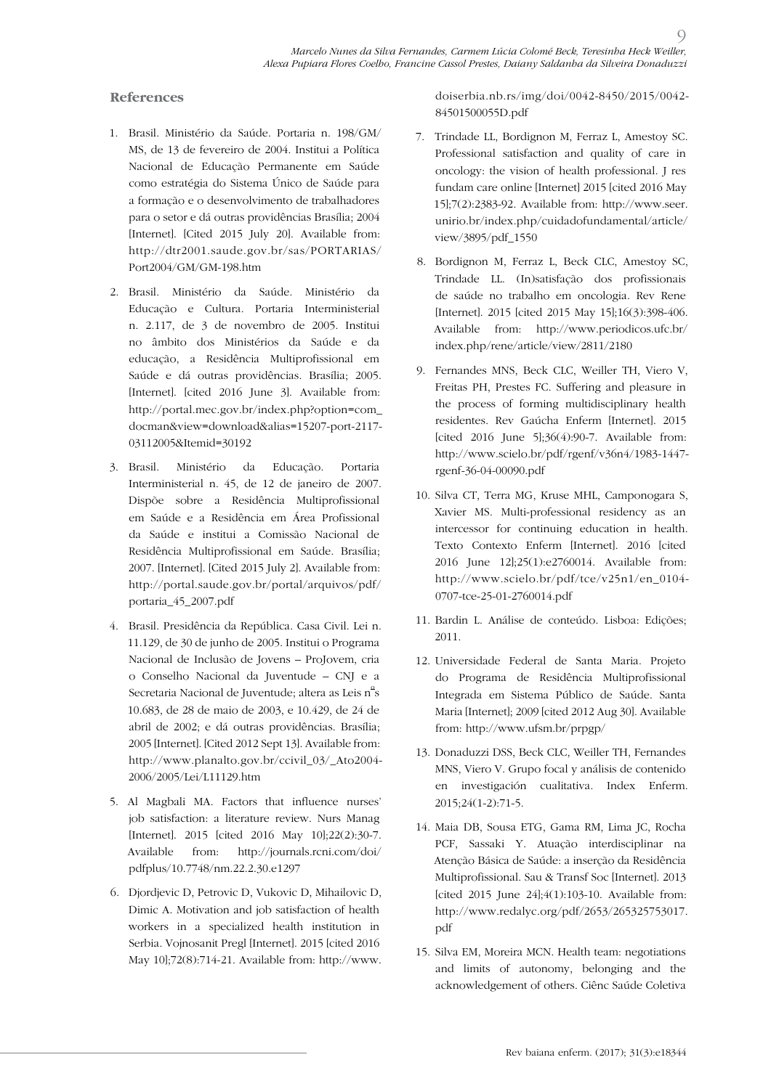### **References**

- 1. Brasil. Ministério da Saúde. Portaria n. 198/GM/ MS, de 13 de fevereiro de 2004. Institui a Política Nacional de Educação Permanente em Saúde como estratégia do Sistema Único de Saúde para a formação e o desenvolvimento de trabalhadores para o setor e dá outras providências Brasília; 2004 [Internet]. [Cited 2015 July 20]. Available from: http://dtr2001.saude.gov.br/sas/PORTARIAS/ Port2004/GM/GM-198.htm
- 2. Brasil. Ministério da Saúde. Ministério da Educação e Cultura. Portaria Interministerial n. 2.117, de 3 de novembro de 2005. Institui no âmbito dos Ministérios da Saúde e da educação, a Residência Multiprofissional em Saúde e dá outras providências. Brasília; 2005. [Internet]. [cited 2016 June 3]. Available from: http://portal.mec.gov.br/index.php?option=com\_ docman&view=download&alias=15207-port-2117- 03112005&Itemid=30192
- 3. Brasil. Ministério da Educação. Portaria Interministerial n. 45, de 12 de janeiro de 2007. Dispõe sobre a Residência Multiprofissional em Saúde e a Residência em Área Profissional da Saúde e institui a Comissão Nacional de Residência Multiprofissional em Saúde. Brasília; 2007. [Internet]. [Cited 2015 July 2]. Available from: http://portal.saude.gov.br/portal/arquivos/pdf/ portaria\_45\_2007.pdf
- 4. Brasil. Presidência da República. Casa Civil. Lei n. 11.129, de 30 de junho de 2005. Institui o Programa Nacional de Inclusão de Jovens – ProJovem, cria o Conselho Nacional da Juventude – CNJ e a Secretaria Nacional de Juventude; altera as Leis  $\hat{\text{n}}^{\text{a}}$ s 10.683, de 28 de maio de 2003, e 10.429, de 24 de abril de 2002; e dá outras providências. Brasília; 2005 [Internet]. [Cited 2012 Sept 13]. Available from: http://www.planalto.gov.br/ccivil\_03/\_Ato2004- 2006/2005/Lei/L11129.htm
- 5. Al Magbali MA. Factors that influence nurses' job satisfaction: a literature review. Nurs Manag [Internet]. 2015 [cited 2016 May 10];22(2):30-7. Available from: http://journals.rcni.com/doi/ pdfplus/10.7748/nm.22.2.30.e1297
- 6. Djordjevic D, Petrovic D, Vukovic D, Mihailovic D, Dimic A. Motivation and job satisfaction of health workers in a specialized health institution in Serbia. Vojnosanit Pregl [Internet]. 2015 [cited 2016 May 10];72(8):714-21. Available from: http://www.

doiserbia.nb.rs/img/doi/0042-8450/2015/0042- 84501500055D.pdf

- 7. Trindade LL, Bordignon M, Ferraz L, Amestoy SC. Professional satisfaction and quality of care in oncology: the vision of health professional. J res fundam care online [Internet] 2015 [cited 2016 May 15];7(2):2383-92. Available from: http://www.seer. unirio.br/index.php/cuidadofundamental/article/ view/3895/pdf\_1550
- 8. Bordignon M, Ferraz L, Beck CLC, Amestoy SC, Trindade LL. (In)satisfação dos profissionais de saúde no trabalho em oncologia. Rev Rene [Internet]. 2015 [cited 2015 May 15];16(3):398-406. Available from: http://www.periodicos.ufc.br/ index.php/rene/article/view/2811/2180
- 9. Fernandes MNS, Beck CLC, Weiller TH, Viero V, Freitas PH, Prestes FC. Suffering and pleasure in the process of forming multidisciplinary health residentes. Rev Gaúcha Enferm [Internet]. 2015 [cited 2016 June 5];36(4):90-7. Available from: http://www.scielo.br/pdf/rgenf/v36n4/1983-1447 rgenf-36-04-00090.pdf
- 10. Silva CT, Terra MG, Kruse MHL, Camponogara S, Xavier MS. Multi-professional residency as an intercessor for continuing education in health. Texto Contexto Enferm [Internet]. 2016 [cited 2016 June 12];25(1):e2760014. Available from: http://www.scielo.br/pdf/tce/v25n1/en\_0104- 0707-tce-25-01-2760014.pdf
- 11. Bardin L. Análise de conteúdo. Lisboa: Edições; 2011.
- 12. Universidade Federal de Santa Maria. Projeto do Programa de Residência Multiprofissional Integrada em Sistema Público de Saúde. Santa Maria [Internet]; 2009 [cited 2012 Aug 30]. Available from: http://www.ufsm.br/prpgp/
- 13. Donaduzzi DSS, Beck CLC, Weiller TH, Fernandes MNS, Viero V. Grupo focal y análisis de contenido en investigación cualitativa. Index Enferm. 2015;24(1-2):71-5.
- 14. Maia DB, Sousa ETG, Gama RM, Lima JC, Rocha PCF, Sassaki Y. Atuação interdisciplinar na Atenção Básica de Saúde: a inserção da Residência Multiprofissional. Sau & Transf Soc [Internet]. 2013 [cited 2015 June 24];4(1):103-10. Available from: http://www.redalyc.org/pdf/2653/265325753017. pdf
- 15. Silva EM, Moreira MCN. Health team: negotiations and limits of autonomy, belonging and the acknowledgement of others. Ciênc Saúde Coletiva